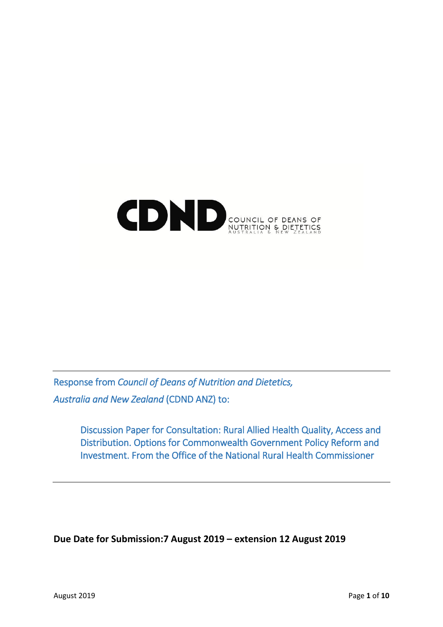# COUNCIL OF DEANS OF

Response from *Council of Deans of Nutrition and Dietetics, Australia and New Zealand* (CDND ANZ) to:

> Discussion Paper for Consultation: Rural Allied Health Quality, Access and Distribution. Options for Commonwealth Government Policy Reform and Investment. From the Office of the National Rural Health Commissioner

**Due Date for Submission:7 August 2019 – extension 12 August 2019**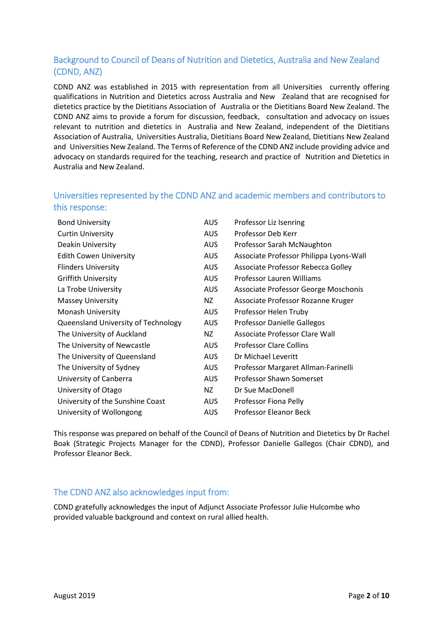# Background to Council of Deans of Nutrition and Dietetics, Australia and New Zealand (CDND, ANZ)

CDND ANZ was established in 2015 with representation from all Universities currently offering qualifications in Nutrition and Dietetics across Australia and New Zealand that are recognised for dietetics practice by the Dietitians Association of Australia or the Dietitians Board New Zealand. The CDND ANZ aims to provide a forum for discussion, feedback, consultation and advocacy on issues relevant to nutrition and dietetics in Australia and New Zealand, independent of the Dietitians Association of Australia, Universities Australia, Dietitians Board New Zealand, Dietitians New Zealand and Universities New Zealand. The Terms of Reference of the CDND ANZ include providing advice and advocacy on standards required for the teaching, research and practice of Nutrition and Dietetics in Australia and New Zealand.

# Universities represented by the CDND ANZ and academic members and contributors to this response:

| <b>Bond University</b>              | <b>AUS</b> | Professor Liz Isenring                  |
|-------------------------------------|------------|-----------------------------------------|
| <b>Curtin University</b>            | <b>AUS</b> | Professor Deb Kerr                      |
| Deakin University                   | <b>AUS</b> | Professor Sarah McNaughton              |
| <b>Edith Cowen University</b>       | <b>AUS</b> | Associate Professor Philippa Lyons-Wall |
| <b>Flinders University</b>          | <b>AUS</b> | Associate Professor Rebecca Golley      |
| <b>Griffith University</b>          | <b>AUS</b> | Professor Lauren Williams               |
| La Trobe University                 | <b>AUS</b> | Associate Professor George Moschonis    |
| <b>Massey University</b>            | NZ         | Associate Professor Rozanne Kruger      |
| Monash University                   | <b>AUS</b> | Professor Helen Truby                   |
| Queensland University of Technology | <b>AUS</b> | Professor Danielle Gallegos             |
| The University of Auckland          | NZ         | Associate Professor Clare Wall          |
| The University of Newcastle         | <b>AUS</b> | <b>Professor Clare Collins</b>          |
| The University of Queensland        | <b>AUS</b> | Dr Michael Leveritt                     |
| The University of Sydney            | <b>AUS</b> | Professor Margaret Allman-Farinelli     |
| University of Canberra              | <b>AUS</b> | Professor Shawn Somerset                |
| University of Otago                 | NZ         | Dr Sue MacDonell                        |
| University of the Sunshine Coast    | <b>AUS</b> | Professor Fiona Pelly                   |
| University of Wollongong            | <b>AUS</b> | Professor Eleanor Beck                  |

This response was prepared on behalf of the Council of Deans of Nutrition and Dietetics by Dr Rachel Boak (Strategic Projects Manager for the CDND), Professor Danielle Gallegos (Chair CDND), and Professor Eleanor Beck.

# The CDND ANZ also acknowledges input from:

CDND gratefully acknowledges the input of Adjunct Associate Professor Julie Hulcombe who provided valuable background and context on rural allied health.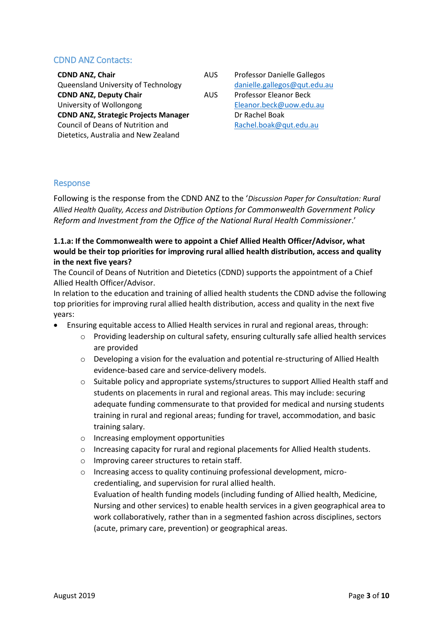# CDND ANZ Contacts:

| <b>CDND ANZ, Chair</b>                      | AU' |
|---------------------------------------------|-----|
| Queensland University of Technology         |     |
| <b>CDND ANZ, Deputy Chair</b>               | AU: |
| University of Wollongong                    |     |
| <b>CDND ANZ, Strategic Projects Manager</b> |     |
| Council of Deans of Nutrition and           |     |
| Dietetics, Australia and New Zealand        |     |
|                                             |     |

S Professor Danielle Gallegos [danielle.gallegos@qut.edu.au](mailto:danielle.gallegos@qut.edu.au) S Professor Eleanor Beck [Eleanor.beck@uow.edu.au](mailto:Eleanor.beck@uow.edu.au) Dr Rachel Boak [Rachel.boak@qut.edu.au](mailto:Rachel.boak@qut.edu.au)

## Response

Following is the response from the CDND ANZ to the '*Discussion Paper for Consultation: Rural Allied Health Quality, Access and Distribution Options for Commonwealth Government Policy Reform and Investment from the Office of the National Rural Health Commissioner*.'

## **1.1.a: If the Commonwealth were to appoint a Chief Allied Health Officer/Advisor, what would be their top priorities for improving rural allied health distribution, access and quality in the next five years?**

The Council of Deans of Nutrition and Dietetics (CDND) supports the appointment of a Chief Allied Health Officer/Advisor.

In relation to the education and training of allied health students the CDND advise the following top priorities for improving rural allied health distribution, access and quality in the next five years:

- Ensuring equitable access to Allied Health services in rural and regional areas, through:
	- o Providing leadership on cultural safety, ensuring culturally safe allied health services are provided
	- o Developing a vision for the evaluation and potential re-structuring of Allied Health evidence-based care and service-delivery models.
	- $\circ$  Suitable policy and appropriate systems/structures to support Allied Health staff and students on placements in rural and regional areas. This may include: securing adequate funding commensurate to that provided for medical and nursing students training in rural and regional areas; funding for travel, accommodation, and basic training salary.
	- o Increasing employment opportunities
	- o Increasing capacity for rural and regional placements for Allied Health students.
	- o Improving career structures to retain staff.
	- o Increasing access to quality continuing professional development, microcredentialing, and supervision for rural allied health. Evaluation of health funding models (including funding of Allied health, Medicine, Nursing and other services) to enable health services in a given geographical area to work collaboratively, rather than in a segmented fashion across disciplines, sectors (acute, primary care, prevention) or geographical areas.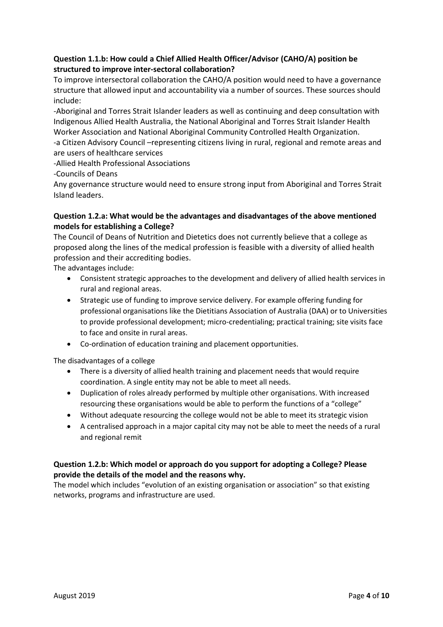## **Question 1.1.b: How could a Chief Allied Health Officer/Advisor (CAHO/A) position be structured to improve inter-sectoral collaboration?**

To improve intersectoral collaboration the CAHO/A position would need to have a governance structure that allowed input and accountability via a number of sources. These sources should include:

-Aboriginal and Torres Strait Islander leaders as well as continuing and deep consultation with Indigenous Allied Health Australia, the National Aboriginal and Torres Strait Islander Health Worker Association and National Aboriginal Community Controlled Health Organization.

-a Citizen Advisory Council –representing citizens living in rural, regional and remote areas and are users of healthcare services

-Allied Health Professional Associations

-Councils of Deans

Any governance structure would need to ensure strong input from Aboriginal and Torres Strait Island leaders.

### **Question 1.2.a: What would be the advantages and disadvantages of the above mentioned models for establishing a College?**

The Council of Deans of Nutrition and Dietetics does not currently believe that a college as proposed along the lines of the medical profession is feasible with a diversity of allied health profession and their accrediting bodies.

The advantages include:

- Consistent strategic approaches to the development and delivery of allied health services in rural and regional areas.
- Strategic use of funding to improve service delivery. For example offering funding for professional organisations like the Dietitians Association of Australia (DAA) or to Universities to provide professional development; micro-credentialing; practical training; site visits face to face and onsite in rural areas.
- Co-ordination of education training and placement opportunities.

The disadvantages of a college

- There is a diversity of allied health training and placement needs that would require coordination. A single entity may not be able to meet all needs.
- Duplication of roles already performed by multiple other organisations. With increased resourcing these organisations would be able to perform the functions of a "college"
- Without adequate resourcing the college would not be able to meet its strategic vision
- A centralised approach in a major capital city may not be able to meet the needs of a rural and regional remit

## **Question 1.2.b: Which model or approach do you support for adopting a College? Please provide the details of the model and the reasons why.**

The model which includes "evolution of an existing organisation or association" so that existing networks, programs and infrastructure are used.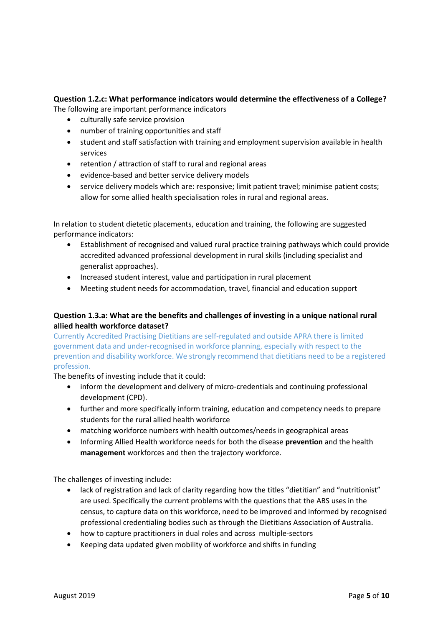# **Question 1.2.c: What performance indicators would determine the effectiveness of a College?**

The following are important performance indicators

- culturally safe service provision
- number of training opportunities and staff
- student and staff satisfaction with training and employment supervision available in health services
- retention / attraction of staff to rural and regional areas
- evidence-based and better service delivery models
- service delivery models which are: responsive; limit patient travel; minimise patient costs; allow for some allied health specialisation roles in rural and regional areas.

In relation to student dietetic placements, education and training, the following are suggested performance indicators:

- Establishment of recognised and valued rural practice training pathways which could provide accredited advanced professional development in rural skills (including specialist and generalist approaches).
- Increased student interest, value and participation in rural placement
- Meeting student needs for accommodation, travel, financial and education support

## **Question 1.3.a: What are the benefits and challenges of investing in a unique national rural allied health workforce dataset?**

Currently Accredited Practising Dietitians are self-regulated and outside APRA there is limited government data and under-recognised in workforce planning, especially with respect to the prevention and disability workforce. We strongly recommend that dietitians need to be a registered profession.

The benefits of investing include that it could:

- inform the development and delivery of micro-credentials and continuing professional development (CPD).
- further and more specifically inform training, education and competency needs to prepare students for the rural allied health workforce
- matching workforce numbers with health outcomes/needs in geographical areas
- Informing Allied Health workforce needs for both the disease **prevention** and the health **management** workforces and then the trajectory workforce.

The challenges of investing include:

- lack of registration and lack of clarity regarding how the titles "dietitian" and "nutritionist" are used. Specifically the current problems with the questions that the ABS uses in the census, to capture data on this workforce, need to be improved and informed by recognised professional credentialing bodies such as through the Dietitians Association of Australia.
- how to capture practitioners in dual roles and across multiple-sectors
- Keeping data updated given mobility of workforce and shifts in funding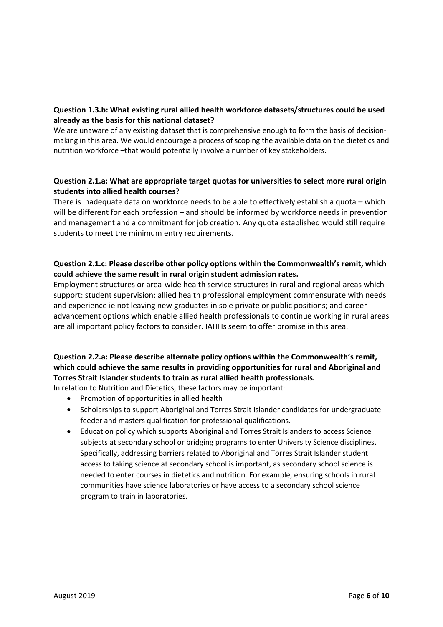## **Question 1.3.b: What existing rural allied health workforce datasets/structures could be used already as the basis for this national dataset?**

We are unaware of any existing dataset that is comprehensive enough to form the basis of decisionmaking in this area. We would encourage a process of scoping the available data on the dietetics and nutrition workforce –that would potentially involve a number of key stakeholders.

## **Question 2.1.a: What are appropriate target quotas for universities to select more rural origin students into allied health courses?**

There is inadequate data on workforce needs to be able to effectively establish a quota – which will be different for each profession – and should be informed by workforce needs in prevention and management and a commitment for job creation. Any quota established would still require students to meet the minimum entry requirements.

## **Question 2.1.c: Please describe other policy options within the Commonwealth's remit, which could achieve the same result in rural origin student admission rates.**

Employment structures or area-wide health service structures in rural and regional areas which support: student supervision; allied health professional employment commensurate with needs and experience ie not leaving new graduates in sole private or public positions; and career advancement options which enable allied health professionals to continue working in rural areas are all important policy factors to consider. IAHHs seem to offer promise in this area.

# **Question 2.2.a: Please describe alternate policy options within the Commonwealth's remit, which could achieve the same results in providing opportunities for rural and Aboriginal and Torres Strait Islander students to train as rural allied health professionals.**

In relation to Nutrition and Dietetics, these factors may be important:

- Promotion of opportunities in allied health
- Scholarships to support Aboriginal and Torres Strait Islander candidates for undergraduate feeder and masters qualification for professional qualifications.
- Education policy which supports Aboriginal and Torres Strait Islanders to access Science subjects at secondary school or bridging programs to enter University Science disciplines. Specifically, addressing barriers related to Aboriginal and Torres Strait Islander student access to taking science at secondary school is important, as secondary school science is needed to enter courses in dietetics and nutrition. For example, ensuring schools in rural communities have science laboratories or have access to a secondary school science program to train in laboratories.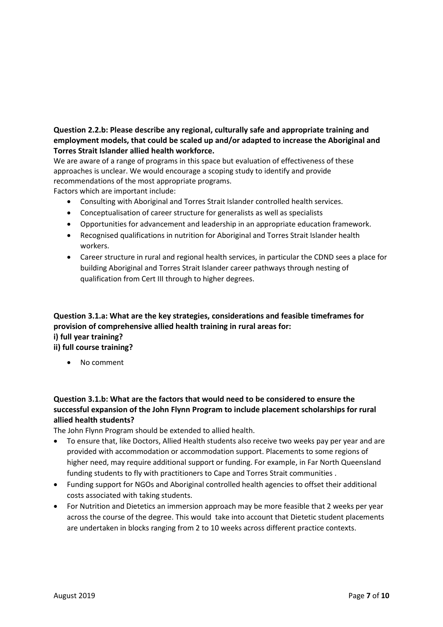## **Question 2.2.b: Please describe any regional, culturally safe and appropriate training and employment models, that could be scaled up and/or adapted to increase the Aboriginal and Torres Strait Islander allied health workforce.**

We are aware of a range of programs in this space but evaluation of effectiveness of these approaches is unclear. We would encourage a scoping study to identify and provide recommendations of the most appropriate programs.

Factors which are important include:

- Consulting with Aboriginal and Torres Strait Islander controlled health services.
- Conceptualisation of career structure for generalists as well as specialists
- Opportunities for advancement and leadership in an appropriate education framework.
- Recognised qualifications in nutrition for Aboriginal and Torres Strait Islander health workers.
- Career structure in rural and regional health services, in particular the CDND sees a place for building Aboriginal and Torres Strait Islander career pathways through nesting of qualification from Cert III through to higher degrees.

## **Question 3.1.a: What are the key strategies, considerations and feasible timeframes for provision of comprehensive allied health training in rural areas for: i) full year training? ii) full course training?**

• No comment

# **Question 3.1.b: What are the factors that would need to be considered to ensure the successful expansion of the John Flynn Program to include placement scholarships for rural allied health students?**

The John Flynn Program should be extended to allied health.

- To ensure that, like Doctors, Allied Health students also receive two weeks pay per year and are provided with accommodation or accommodation support. Placements to some regions of higher need, may require additional support or funding. For example, in Far North Queensland funding students to fly with practitioners to Cape and Torres Strait communities .
- Funding support for NGOs and Aboriginal controlled health agencies to offset their additional costs associated with taking students.
- For Nutrition and Dietetics an immersion approach may be more feasible that 2 weeks per year across the course of the degree. This would take into account that Dietetic student placements are undertaken in blocks ranging from 2 to 10 weeks across different practice contexts.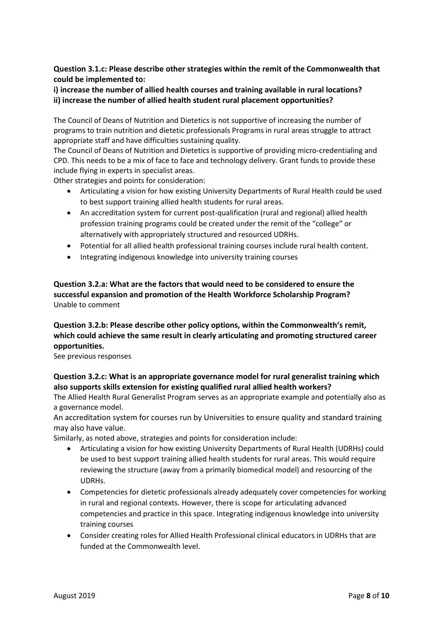**Question 3.1.c: Please describe other strategies within the remit of the Commonwealth that could be implemented to:** 

## **i) increase the number of allied health courses and training available in rural locations? ii) increase the number of allied health student rural placement opportunities?**

The Council of Deans of Nutrition and Dietetics is not supportive of increasing the number of programs to train nutrition and dietetic professionals Programs in rural areas struggle to attract appropriate staff and have difficulties sustaining quality.

The Council of Deans of Nutrition and Dietetics is supportive of providing micro-credentialing and CPD. This needs to be a mix of face to face and technology delivery. Grant funds to provide these include flying in experts in specialist areas.

Other strategies and points for consideration:

- Articulating a vision for how existing University Departments of Rural Health could be used to best support training allied health students for rural areas.
- An accreditation system for current post-qualification (rural and regional) allied health profession training programs could be created under the remit of the "college" or alternatively with appropriately structured and resourced UDRHs.
- Potential for all allied health professional training courses include rural health content.
- Integrating indigenous knowledge into university training courses

## **Question 3.2.a: What are the factors that would need to be considered to ensure the successful expansion and promotion of the Health Workforce Scholarship Program?** Unable to comment

# **Question 3.2.b: Please describe other policy options, within the Commonwealth's remit, which could achieve the same result in clearly articulating and promoting structured career opportunities.**

See previous responses

# **Question 3.2.c: What is an appropriate governance model for rural generalist training which also supports skills extension for existing qualified rural allied health workers?**

The Allied Health Rural Generalist Program serves as an appropriate example and potentially also as a governance model.

An accreditation system for courses run by Universities to ensure quality and standard training may also have value.

Similarly, as noted above, strategies and points for consideration include:

- Articulating a vision for how existing University Departments of Rural Health (UDRHs) could be used to best support training allied health students for rural areas. This would require reviewing the structure (away from a primarily biomedical model) and resourcing of the UDRHs.
- Competencies for dietetic professionals already adequately cover competencies for working in rural and regional contexts. However, there is scope for articulating advanced competencies and practice in this space. Integrating indigenous knowledge into university training courses
- Consider creating roles for Allied Health Professional clinical educators in UDRHs that are funded at the Commonwealth level.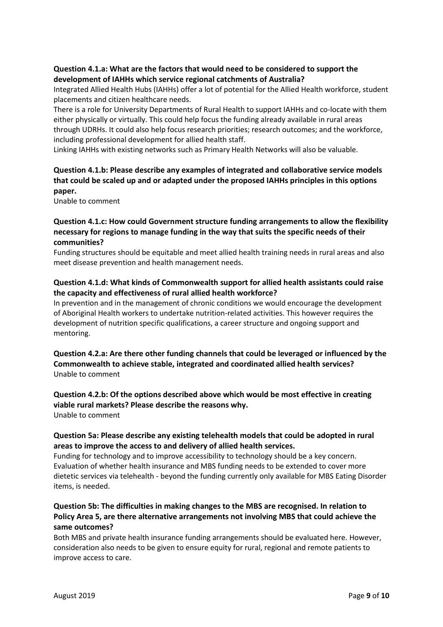## **Question 4.1.a: What are the factors that would need to be considered to support the development of IAHHs which service regional catchments of Australia?**

Integrated Allied Health Hubs (IAHHs) offer a lot of potential for the Allied Health workforce, student placements and citizen healthcare needs.

There is a role for University Departments of Rural Health to support IAHHs and co-locate with them either physically or virtually. This could help focus the funding already available in rural areas through UDRHs. It could also help focus research priorities; research outcomes; and the workforce, including professional development for allied health staff.

Linking IAHHs with existing networks such as Primary Health Networks will also be valuable.

# **Question 4.1.b: Please describe any examples of integrated and collaborative service models that could be scaled up and or adapted under the proposed IAHHs principles in this options paper.**

Unable to comment

## **Question 4.1.c: How could Government structure funding arrangements to allow the flexibility necessary for regions to manage funding in the way that suits the specific needs of their communities?**

Funding structures should be equitable and meet allied health training needs in rural areas and also meet disease prevention and health management needs.

### **Question 4.1.d: What kinds of Commonwealth support for allied health assistants could raise the capacity and effectiveness of rural allied health workforce?**

In prevention and in the management of chronic conditions we would encourage the development of Aboriginal Health workers to undertake nutrition-related activities. This however requires the development of nutrition specific qualifications, a career structure and ongoing support and mentoring.

**Question 4.2.a: Are there other funding channels that could be leveraged or influenced by the Commonwealth to achieve stable, integrated and coordinated allied health services?** Unable to comment

**Question 4.2.b: Of the options described above which would be most effective in creating viable rural markets? Please describe the reasons why.** Unable to comment

### **Question 5a: Please describe any existing telehealth models that could be adopted in rural areas to improve the access to and delivery of allied health services.**

Funding for technology and to improve accessibility to technology should be a key concern. Evaluation of whether health insurance and MBS funding needs to be extended to cover more dietetic services via telehealth - beyond the funding currently only available for MBS Eating Disorder items, is needed.

## **Question 5b: The difficulties in making changes to the MBS are recognised. In relation to Policy Area 5, are there alternative arrangements not involving MBS that could achieve the same outcomes?**

Both MBS and private health insurance funding arrangements should be evaluated here. However, consideration also needs to be given to ensure equity for rural, regional and remote patients to improve access to care.